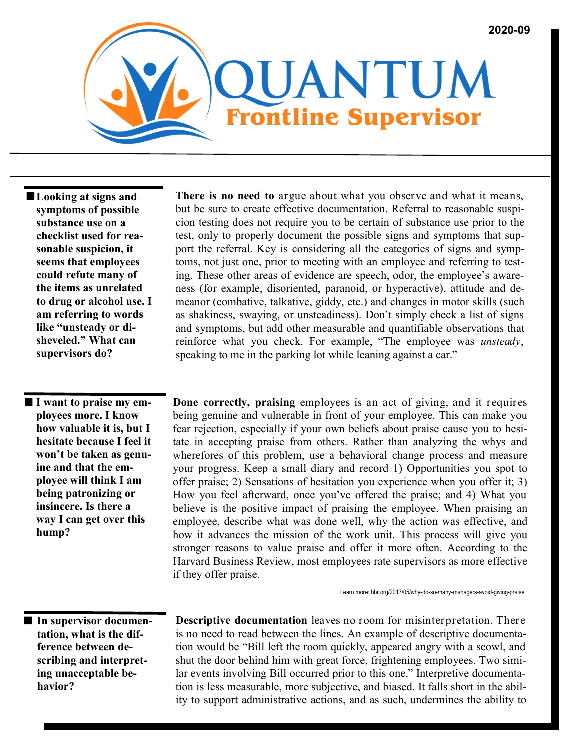

 **Looking at signs and symptoms of possible substance use on a checklist used for reasonable suspicion, it seems that employees could refute many of the items as unrelated to drug or alcohol use. I am referring to words like "unsteady or disheveled." What can supervisors do?**

 **I want to praise my employees more. I know how valuable it is, but I hesitate because I feel it won't be taken as genuine and that the employee will think I am being patronizing or insincere. Is there a way I can get over this hump?**

**There is no need to** argue about what you observe and what it means, but be sure to create effective documentation. Referral to reasonable suspicion testing does not require you to be certain of substance use prior to the test, only to properly document the possible signs and symptoms that support the referral. Key is considering all the categories of signs and symptoms, not just one, prior to meeting with an employee and referring to testing. These other areas of evidence are speech, odor, the employee's awareness (for example, disoriented, paranoid, or hyperactive), attitude and demeanor (combative, talkative, giddy, etc.) and changes in motor skills (such as shakiness, swaying, or unsteadiness). Don't simply check a list of signs and symptoms, but add other measurable and quantifiable observations that reinforce what you check. For example, "The employee was *unsteady*, speaking to me in the parking lot while leaning against a car."

**Done correctly, praising** employees is an act of giving, and it requires being genuine and vulnerable in front of your employee. This can make you fear rejection, especially if your own beliefs about praise cause you to hesitate in accepting praise from others. Rather than analyzing the whys and wherefores of this problem, use a behavioral change process and measure your progress. Keep a small diary and record 1) Opportunities you spot to offer praise; 2) Sensations of hesitation you experience when you offer it; 3) How you feel afterward, once you've offered the praise; and 4) What you believe is the positive impact of praising the employee. When praising an employee, describe what was done well, why the action was effective, and how it advances the mission of the work unit. This process will give you stronger reasons to value praise and offer it more often. According to the Harvard Business Review, most employees rate supervisors as more effective if they offer praise.

Learn more: hbr.org/2017/05/why-do-so-many-managers-avoid-giving-praise

 **In supervisor documentation, what is the difference between describing and interpreting unacceptable behavior?**

**Descriptive documentation** leaves no room for misinterpretation. There is no need to read between the lines. An example of descriptive documentation would be "Bill left the room quickly, appeared angry with a scowl, and shut the door behind him with great force, frightening employees. Two similar events involving Bill occurred prior to this one." Interpretive documentation is less measurable, more subjective, and biased. It falls short in the ability to support administrative actions, and as such, undermines the ability to